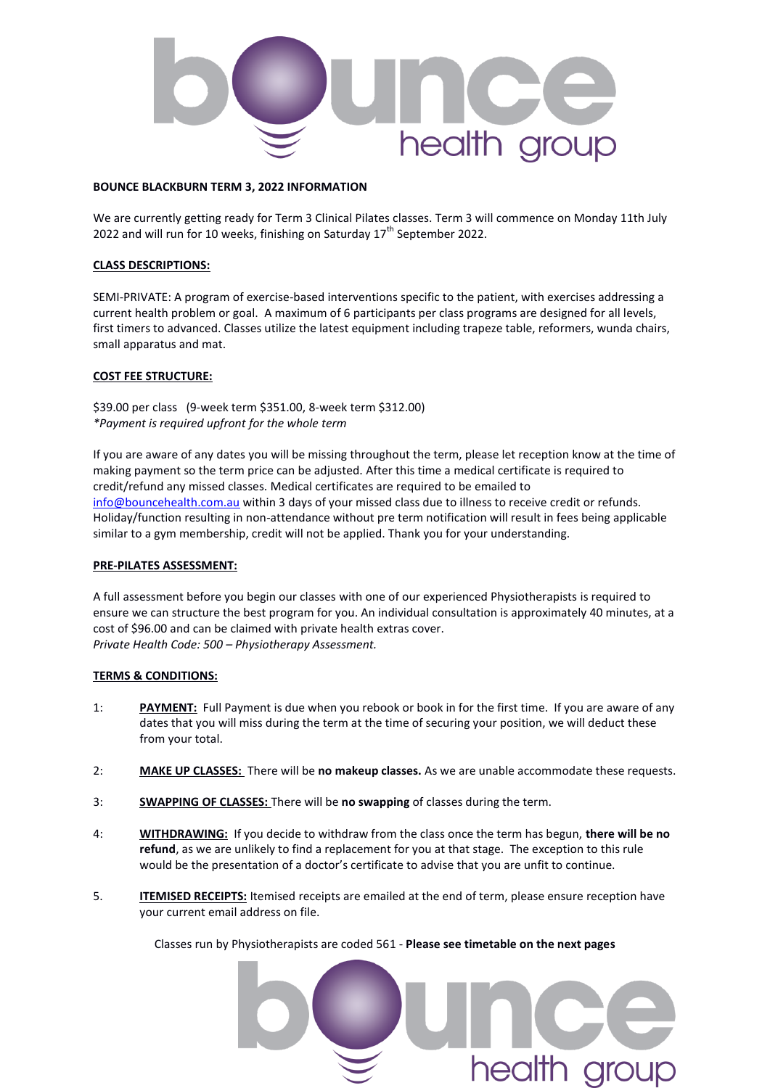

#### **BOUNCE BLACKBURN TERM 3, 2022 INFORMATION**

We are currently getting ready for Term 3 Clinical Pilates classes. Term 3 will commence on Monday 11th July 2022 and will run for 10 weeks, finishing on Saturday  $17<sup>th</sup>$  September 2022.

#### **CLASS DESCRIPTIONS:**

SEMI-PRIVATE: A program of exercise-based interventions specific to the patient, with exercises addressing a current health problem or goal. A maximum of 6 participants per class programs are designed for all levels, first timers to advanced. Classes utilize the latest equipment including trapeze table, reformers, wunda chairs, small apparatus and mat.

#### **COST FEE STRUCTURE:**

\$39.00 per class (9-week term \$351.00, 8-week term \$312.00) *\*Payment is required upfront for the whole term* 

If you are aware of any dates you will be missing throughout the term, please let reception know at the time of making payment so the term price can be adjusted. After this time a medical certificate is required to credit/refund any missed classes. Medical certificates are required to be emailed to [info@bouncehealth.com.au](about:blank) within 3 days of your missed class due to illness to receive credit or refunds. Holiday/function resulting in non-attendance without pre term notification will result in fees being applicable similar to a gym membership, credit will not be applied. Thank you for your understanding.

#### **PRE-PILATES ASSESSMENT:**

A full assessment before you begin our classes with one of our experienced Physiotherapists is required to ensure we can structure the best program for you. An individual consultation is approximately 40 minutes, at a cost of \$96.00 and can be claimed with private health extras cover. *Private Health Code: 500 – Physiotherapy Assessment.* 

#### **TERMS & CONDITIONS:**

- 1: **PAYMENT:** Full Payment is due when you rebook or book in for the first time. If you are aware of any dates that you will miss during the term at the time of securing your position, we will deduct these from your total.
- 2: **MAKE UP CLASSES:** There will be **no makeup classes.** As we are unable accommodate these requests.
- 3: **SWAPPING OF CLASSES:** There will be **no swapping** of classes during the term.
- 4: **WITHDRAWING:** If you decide to withdraw from the class once the term has begun, **there will be no refund**, as we are unlikely to find a replacement for you at that stage. The exception to this rule would be the presentation of a doctor's certificate to advise that you are unfit to continue.
- 5. **ITEMISED RECEIPTS:** Itemised receipts are emailed at the end of term, please ensure reception have your current email address on file.

Classes run by Physiotherapists are coded 561 - **Please see timetable on the next pages**

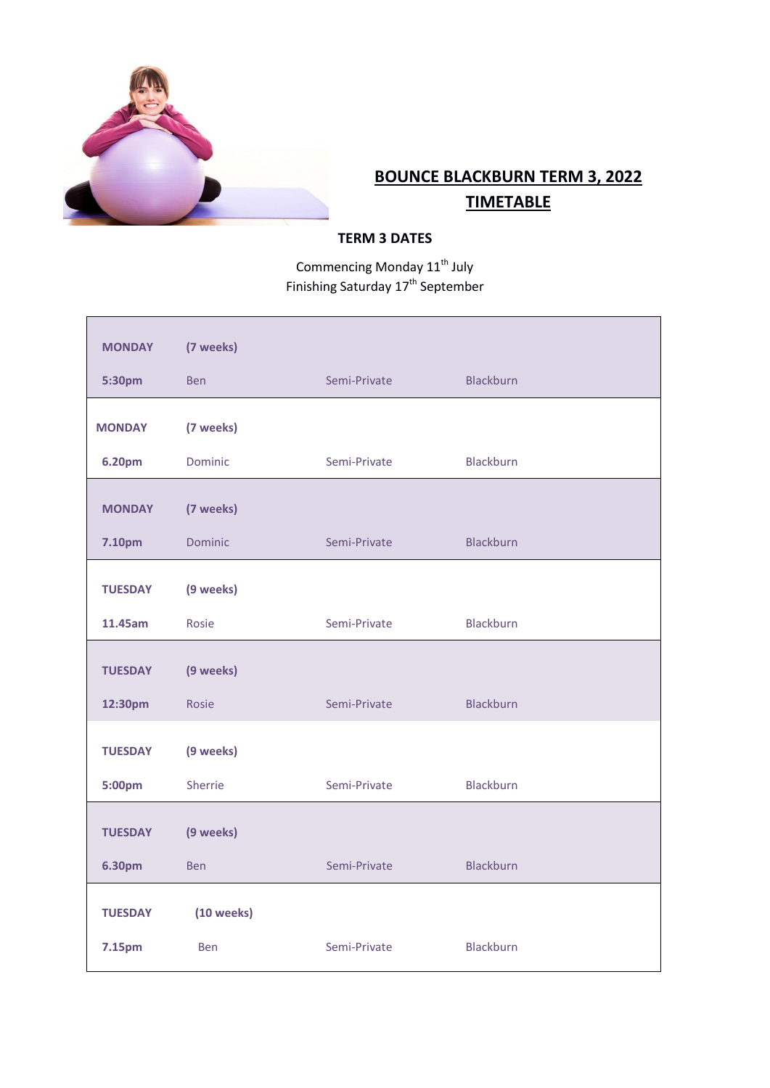

# **BOUNCE BLACKBURN TERM 3, 2022 TIMETABLE**

### **TERM 3 DATES**

Commencing Monday 11<sup>th</sup> July Finishing Saturday 17<sup>th</sup> September

| <b>MONDAY</b>  | (7 weeks)       |              |                  |  |
|----------------|-----------------|--------------|------------------|--|
| 5:30pm         | <b>Ben</b>      | Semi-Private | <b>Blackburn</b> |  |
| <b>MONDAY</b>  | (7 weeks)       |              |                  |  |
| 6.20pm         | Dominic         | Semi-Private | <b>Blackburn</b> |  |
| <b>MONDAY</b>  | (7 weeks)       |              |                  |  |
| 7.10pm         | <b>Dominic</b>  | Semi-Private | Blackburn        |  |
| <b>TUESDAY</b> | (9 weeks)       |              |                  |  |
| 11.45am        | Rosie           | Semi-Private | <b>Blackburn</b> |  |
| <b>TUESDAY</b> | (9 weeks)       |              |                  |  |
| 12:30pm        | Rosie           | Semi-Private | <b>Blackburn</b> |  |
|                |                 |              |                  |  |
| <b>TUESDAY</b> | (9 weeks)       |              |                  |  |
| 5:00pm         | Sherrie         | Semi-Private | <b>Blackburn</b> |  |
| <b>TUESDAY</b> | (9 weeks)       |              |                  |  |
| 6.30pm         | <b>Ben</b>      | Semi-Private | <b>Blackburn</b> |  |
| <b>TUESDAY</b> | $(10$ weeks $)$ |              |                  |  |
| 7.15pm         | <b>Ben</b>      | Semi-Private | <b>Blackburn</b> |  |